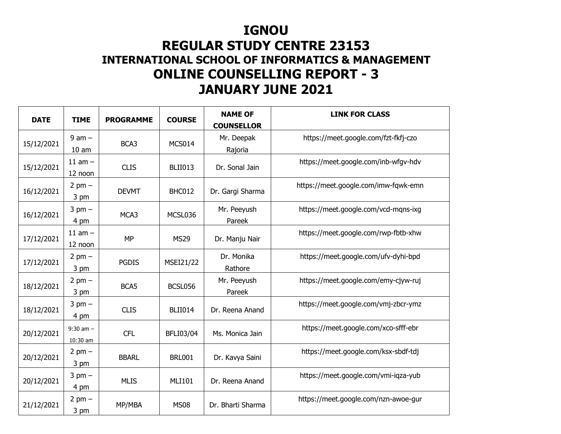## **IGNOU**

## **REGULAR STUDY CENTRE 23153 INTERNATIONAL SCHOOL OF INFORMATICS & MANAGEMENTONLINE COUNSELLING REPORT - 3 JANUARY JUNE 2021**

| <b>DATE</b> | <b>TIME</b>                    | <b>PROGRAMME</b> | <b>COURSE</b>    | <b>NAME OF</b><br><b>COUNSELLOR</b> | <b>LINK FOR CLASS</b>                |
|-------------|--------------------------------|------------------|------------------|-------------------------------------|--------------------------------------|
| 15/12/2021  | $9$ am $-$<br>10 <sub>am</sub> | BCA3             | MCS014           | Mr. Deepak<br>Rajoria               | https://meet.google.com/fzt-fkfj-czo |
| 15/12/2021  | $11$ am $-$<br>12 noon         | <b>CLIS</b>      | <b>BLII013</b>   | Dr. Sonal Jain                      | https://meet.google.com/inb-wfgv-hdv |
| 16/12/2021  | $2$ pm $-$<br>3 pm             | <b>DEVMT</b>     | BHC012           | Dr. Gargi Sharma                    | https://meet.google.com/imw-fqwk-emn |
| 16/12/2021  | $3$ pm $-$<br>4 pm             | MCA3             | MCSL036          | Mr. Peeyush<br>Pareek               | https://meet.google.com/vcd-mqns-ixg |
| 17/12/2021  | $11$ am $-$<br>12 noon         | <b>MP</b>        | <b>MS29</b>      | Dr. Manju Nair                      | https://meet.google.com/rwp-fbtb-xhw |
| 17/12/2021  | $2$ pm $-$<br>3 pm             | <b>PGDIS</b>     | <b>MSEI21/22</b> | Dr. Monika<br>Rathore               | https://meet.google.com/ufv-dyhi-bpd |
| 18/12/2021  | $2$ pm $-$<br>3 pm             | BCA5             | BCSL056          | Mr. Peeyush<br>Pareek               | https://meet.google.com/emy-cjyw-ruj |
| 18/12/2021  | $3$ pm $-$<br>4 pm             | <b>CLIS</b>      | <b>BLII014</b>   | Dr. Reena Anand                     | https://meet.google.com/vmj-zbcr-ymz |
| 20/12/2021  | $9:30$ am $-$<br>10:30 am      | <b>CFL</b>       | <b>BFLI03/04</b> | Ms. Monica Jain                     | https://meet.google.com/xco-sfff-ebr |
| 20/12/2021  | $2$ pm $-$<br>3 pm             | <b>BBARL</b>     | <b>BRL001</b>    | Dr. Kavya Saini                     | https://meet.google.com/ksx-sbdf-tdj |
| 20/12/2021  | $3$ pm $-$<br>4 pm             | <b>MLIS</b>      | <b>MLI101</b>    | Dr. Reena Anand                     | https://meet.google.com/vmi-iqza-yub |
| 21/12/2021  | $2$ pm $-$<br>3 pm             | MP/MBA           | <b>MS08</b>      | Dr. Bharti Sharma                   | https://meet.google.com/nzn-awoe-gur |